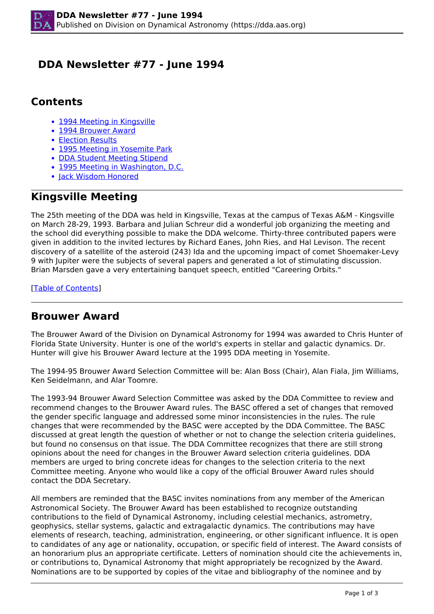## <span id="page-0-0"></span> **DDA Newsletter #77 - June 1994**

## **Contents**

- [1994 Meeting in Kingsville](#page-0-0)
- 1994 Brouwer Award
- Election Results
- 1995 Meeting in Yosemite Park
- DDA Student Meeting Stipend
- 1995 Meeting in Washington, D.C.
- lack Wisdom Honored

# **Kingsville Meeting**

The 25th meeting of the DDA was held in Kingsville, Texas at the campus of Texas A&M - Kingsville on March 28-29, 1993. Barbara and Julian Schreur did a wonderful job organizing the meeting and the school did everything possible to make the DDA welcome. Thirty-three contributed papers were given in addition to the invited lectures by Richard Eanes, John Ries, and Hal Levison. The recent discovery of a satellite of the asteroid (243) Ida and the upcoming impact of comet Shoemaker-Levy 9 with Jupiter were the subjects of several papers and generated a lot of stimulating discussion. Brian Marsden gave a very entertaining banquet speech, entitled "Careering Orbits."

[Table of Contents]

### **Brouwer Award**

The Brouwer Award of the Division on Dynamical Astronomy for 1994 was awarded to Chris Hunter of Florida State University. Hunter is one of the world's experts in stellar and galactic dynamics. Dr. Hunter will give his Brouwer Award lecture at the 1995 DDA meeting in Yosemite.

The 1994-95 Brouwer Award Selection Committee will be: Alan Boss (Chair), Alan Fiala, Jim Williams, Ken Seidelmann, and Alar Toomre.

The 1993-94 Brouwer Award Selection Committee was asked by the DDA Committee to review and recommend changes to the Brouwer Award rules. The BASC offered a set of changes that removed the gender specific language and addressed some minor inconsistencies in the rules. The rule changes that were recommended by the BASC were accepted by the DDA Committee. The BASC discussed at great length the question of whether or not to change the selection criteria guidelines, but found no consensus on that issue. The DDA Committee recognizes that there are still strong opinions about the need for changes in the Brouwer Award selection criteria guidelines. DDA members are urged to bring concrete ideas for changes to the selection criteria to the next Committee meeting. Anyone who would like a copy of the official Brouwer Award rules should contact the DDA Secretary.

All members are reminded that the BASC invites nominations from any member of the American Astronomical Society. The Brouwer Award has been established to recognize outstanding contributions to the field of Dynamical Astronomy, including celestial mechanics, astrometry, geophysics, stellar systems, galactic and extragalactic dynamics. The contributions may have elements of research, teaching, administration, engineering, or other significant influence. It is open to candidates of any age or nationality, occupation, or specific field of interest. The Award consists of an honorarium plus an appropriate certificate. Letters of nomination should cite the achievements in, or contributions to, Dynamical Astronomy that might appropriately be recognized by the Award. Nominations are to be supported by copies of the vitae and bibliography of the nominee and by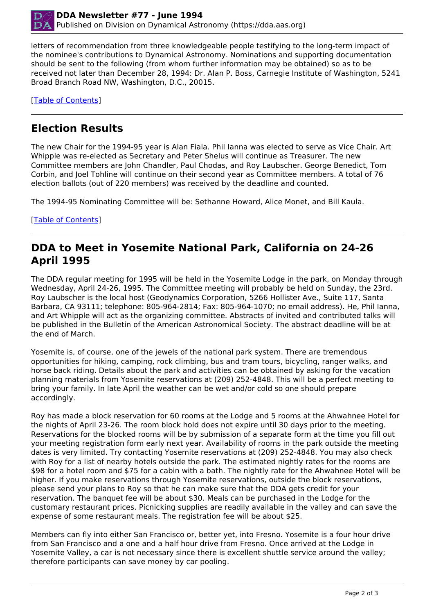

letters of recommendation from three knowledgeable people testifying to the long-term impact of the nominee's contributions to Dynamical Astronomy. Nominations and supporting documentation should be sent to the following (from whom further information may be obtained) so as to be received not later than December 28, 1994: Dr. Alan P. Boss, Carnegie Institute of Washington, 5241 Broad Branch Road NW, Washington, D.C., 20015.

[Table of Contents]

# **Election Results**

The new Chair for the 1994-95 year is Alan Fiala. Phil Ianna was elected to serve as Vice Chair. Art Whipple was re-elected as Secretary and Peter Shelus will continue as Treasurer. The new Committee members are John Chandler, Paul Chodas, and Roy Laubscher. George Benedict, Tom Corbin, and Joel Tohline will continue on their second year as Committee members. A total of 76 election ballots (out of 220 members) was received by the deadline and counted.

The 1994-95 Nominating Committee will be: Sethanne Howard, Alice Monet, and Bill Kaula.

[Table of Contents]

#### **DDA to Meet in Yosemite National Park, California on 24-26 April 1995**

The DDA regular meeting for 1995 will be held in the Yosemite Lodge in the park, on Monday through Wednesday, April 24-26, 1995. The Committee meeting will probably be held on Sunday, the 23rd. Roy Laubscher is the local host (Geodynamics Corporation, 5266 Hollister Ave., Suite 117, Santa Barbara, CA 93111; telephone: 805-964-2814; Fax: 805-964-1070; no email address). He, Phil Ianna, and Art Whipple will act as the organizing committee. Abstracts of invited and contributed talks will be published in the Bulletin of the American Astronomical Society. The abstract deadline will be at the end of March.

Yosemite is, of course, one of the jewels of the national park system. There are tremendous opportunities for hiking, camping, rock climbing, bus and tram tours, bicycling, ranger walks, and horse back riding. Details about the park and activities can be obtained by asking for the vacation planning materials from Yosemite reservations at (209) 252-4848. This will be a perfect meeting to bring your family. In late April the weather can be wet and/or cold so one should prepare accordingly.

Roy has made a block reservation for 60 rooms at the Lodge and 5 rooms at the Ahwahnee Hotel for the nights of April 23-26. The room block hold does not expire until 30 days prior to the meeting. Reservations for the blocked rooms will be by submission of a separate form at the time you fill out your meeting registration form early next year. Availability of rooms in the park outside the meeting dates is very limited. Try contacting Yosemite reservations at (209) 252-4848. You may also check with Roy for a list of nearby hotels outside the park. The estimated nightly rates for the rooms are \$98 for a hotel room and \$75 for a cabin with a bath. The nightly rate for the Ahwahnee Hotel will be higher. If you make reservations through Yosemite reservations, outside the block reservations, please send your plans to Roy so that he can make sure that the DDA gets credit for your reservation. The banquet fee will be about \$30. Meals can be purchased in the Lodge for the customary restaurant prices. Picnicking supplies are readily available in the valley and can save the expense of some restaurant meals. The registration fee will be about \$25.

Members can fly into either San Francisco or, better yet, into Fresno. Yosemite is a four hour drive from San Francisco and a one and a half hour drive from Fresno. Once arrived at the Lodge in Yosemite Valley, a car is not necessary since there is excellent shuttle service around the valley; therefore participants can save money by car pooling.